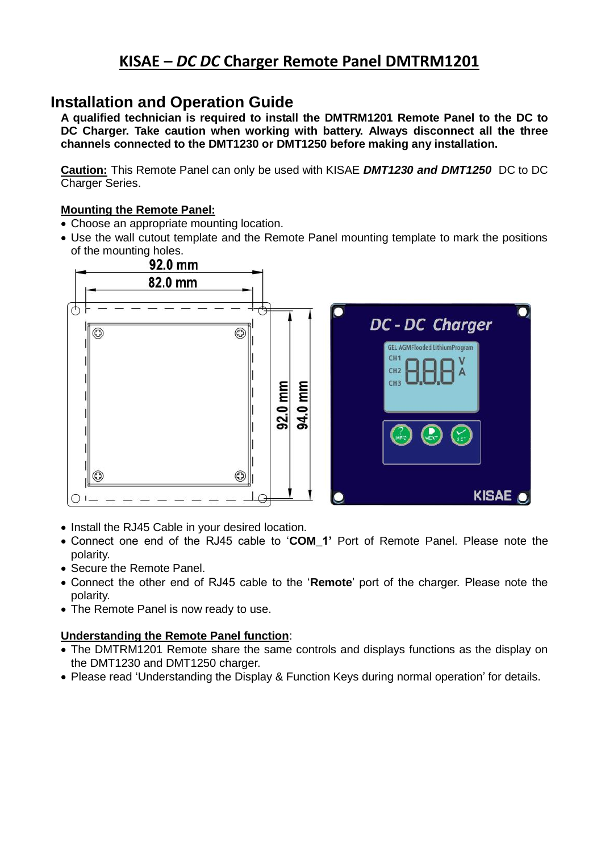# **KISAE –** *DC DC* **Charger Remote Panel DMTRM1201**

## **Installation and Operation Guide**

**A qualified technician is required to install the DMTRM1201 Remote Panel to the DC to DC Charger. Take caution when working with battery. Always disconnect all the three channels connected to the DMT1230 or DMT1250 before making any installation.**

**Caution:** This Remote Panel can only be used with KISAE *DMT1230 and DMT1250* DC to DC Charger Series.

### **Mounting the Remote Panel:**

- Choose an appropriate mounting location.
- Use the wall cutout template and the Remote Panel mounting template to mark the positions of the mounting holes.<br>92.0 mm



- Install the RJ45 Cable in your desired location.
- Connect one end of the RJ45 cable to '**COM\_1'** Port of Remote Panel. Please note the polarity.
- Secure the Remote Panel.
- Connect the other end of RJ45 cable to the '**Remote**' port of the charger. Please note the polarity.
- The Remote Panel is now ready to use.

#### **Understanding the Remote Panel function**:

- The DMTRM1201 Remote share the same controls and displays functions as the display on the DMT1230 and DMT1250 charger.
- Please read 'Understanding the Display & Function Keys during normal operation' for details.